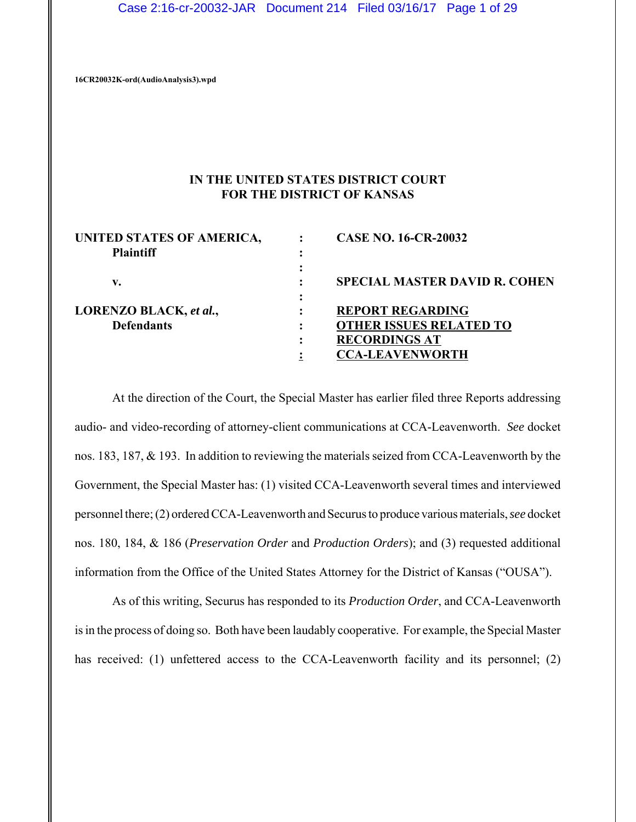Case 2:16-cr-20032-JAR Document 214 Filed 03/16/17 Page 1 of 29

**16CR20032K-ord(AudioAnalysis3).wpd**

## **IN THE UNITED STATES DISTRICT COURT FOR THE DISTRICT OF KANSAS**

| UNITED STATES OF AMERICA,<br><b>Plaintiff</b> |                        | <b>CASE NO. 16-CR-20032</b>                                                                                 |
|-----------------------------------------------|------------------------|-------------------------------------------------------------------------------------------------------------|
| v.                                            | ٠                      | <b>SPECIAL MASTER DAVID R. COHEN</b>                                                                        |
| LORENZO BLACK, et al.,<br><b>Defendants</b>   | $\bullet$<br>$\bullet$ | <b>REPORT REGARDING</b><br><b>OTHER ISSUES RELATED TO</b><br><b>RECORDINGS AT</b><br><b>CCA-LEAVENWORTH</b> |

At the direction of the Court, the Special Master has earlier filed three Reports addressing audio- and video-recording of attorney-client communications at CCA-Leavenworth. *See* docket nos. 183, 187, & 193. In addition to reviewing the materials seized from CCA-Leavenworth by the Government, the Special Master has: (1) visited CCA-Leavenworth several times and interviewed personnel there; (2) ordered CCA-Leavenworth and Securus to produce various materials, *see* docket nos. 180, 184, & 186 (*Preservation Order* and *Production Orders*); and (3) requested additional information from the Office of the United States Attorney for the District of Kansas ("OUSA").

As of this writing, Securus has responded to its *Production Order*, and CCA-Leavenworth is in the process of doing so. Both have been laudably cooperative. For example, the Special Master has received: (1) unfettered access to the CCA-Leavenworth facility and its personnel; (2)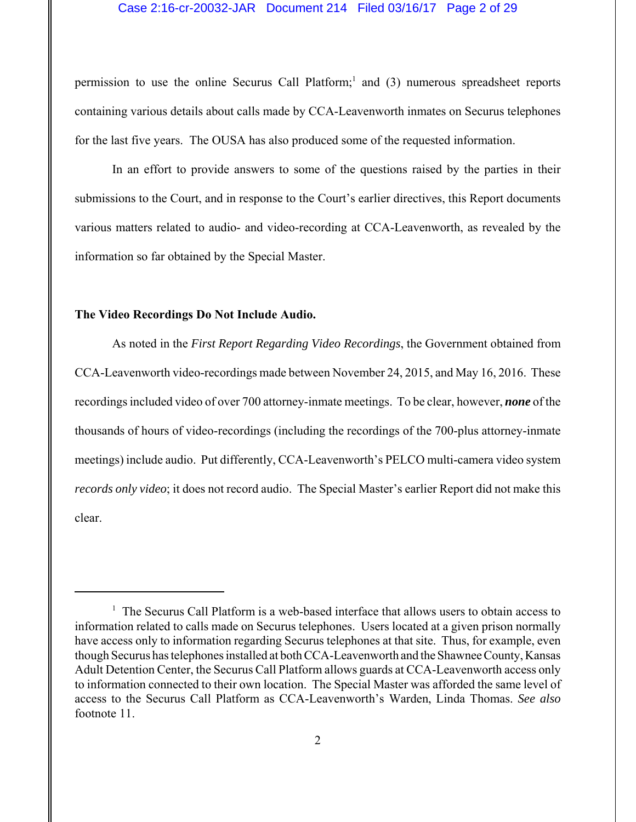#### Case 2:16-cr-20032-JAR Document 214 Filed 03/16/17 Page 2 of 29

permission to use the online Securus Call Platform;<sup>1</sup> and (3) numerous spreadsheet reports containing various details about calls made by CCA-Leavenworth inmates on Securus telephones for the last five years. The OUSA has also produced some of the requested information.

In an effort to provide answers to some of the questions raised by the parties in their submissions to the Court, and in response to the Court's earlier directives, this Report documents various matters related to audio- and video-recording at CCA-Leavenworth, as revealed by the information so far obtained by the Special Master.

#### **The Video Recordings Do Not Include Audio.**

As noted in the *First Report Regarding Video Recordings*, the Government obtained from CCA-Leavenworth video-recordings made between November 24, 2015, and May 16, 2016. These recordings included video of over 700 attorney-inmate meetings. To be clear, however, *none* of the thousands of hours of video-recordings (including the recordings of the 700-plus attorney-inmate meetings) include audio. Put differently, CCA-Leavenworth's PELCO multi-camera video system *records only video*; it does not record audio. The Special Master's earlier Report did not make this clear.

<sup>&</sup>lt;sup>1</sup> The Securus Call Platform is a web-based interface that allows users to obtain access to information related to calls made on Securus telephones. Users located at a given prison normally have access only to information regarding Securus telephones at that site. Thus, for example, even though Securus has telephones installed at both CCA-Leavenworth and the Shawnee County, Kansas Adult Detention Center, the Securus Call Platform allows guards at CCA-Leavenworth access only to information connected to their own location. The Special Master was afforded the same level of access to the Securus Call Platform as CCA-Leavenworth's Warden, Linda Thomas. *See also* footnote 11.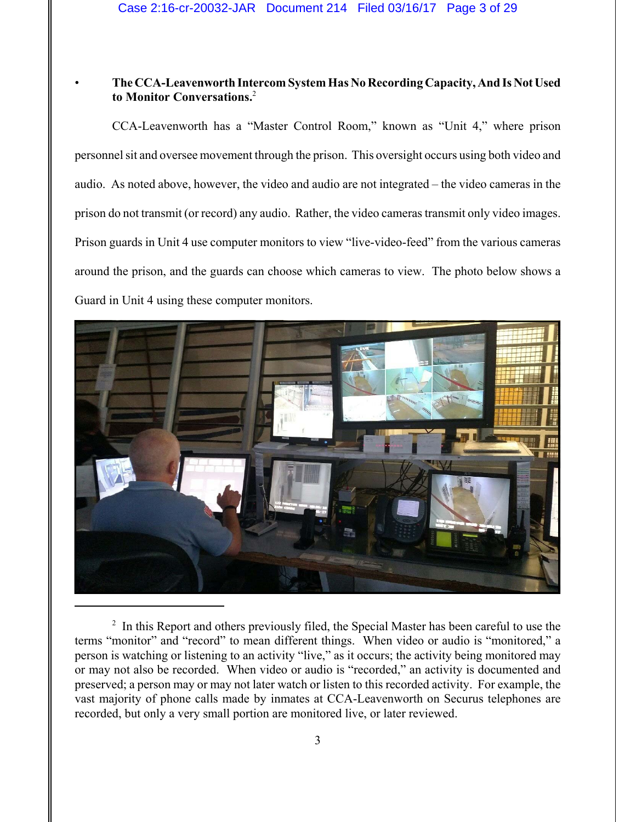# • **The CCA-Leavenworth Intercom System Has No Recording Capacity, And Is Not Used to Monitor Conversations.**<sup>2</sup>

CCA-Leavenworth has a "Master Control Room," known as "Unit 4," where prison personnel sit and oversee movement through the prison. This oversight occurs using both video and audio. As noted above, however, the video and audio are not integrated – the video cameras in the prison do not transmit (or record) any audio. Rather, the video cameras transmit only video images. Prison guards in Unit 4 use computer monitors to view "live-video-feed" from the various cameras around the prison, and the guards can choose which cameras to view. The photo below shows a Guard in Unit 4 using these computer monitors.



 $2\;$  In this Report and others previously filed, the Special Master has been careful to use the terms "monitor" and "record" to mean different things. When video or audio is "monitored," a person is watching or listening to an activity "live," as it occurs; the activity being monitored may or may not also be recorded. When video or audio is "recorded," an activity is documented and preserved; a person may or may not later watch or listen to this recorded activity. For example, the vast majority of phone calls made by inmates at CCA-Leavenworth on Securus telephones are recorded, but only a very small portion are monitored live, or later reviewed.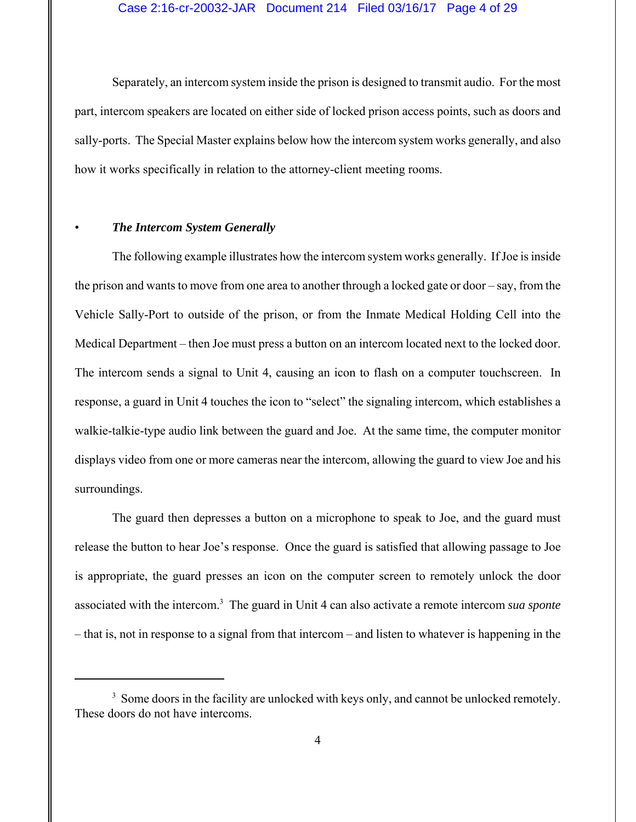Separately, an intercom system inside the prison is designed to transmit audio. For the most part, intercom speakers are located on either side of locked prison access points, such as doors and sally-ports. The Special Master explains below how the intercom system works generally, and also how it works specifically in relation to the attorney-client meeting rooms.

#### • *The Intercom System Generally*

The following example illustrates how the intercom system works generally. If Joe is inside the prison and wants to move from one area to another through a locked gate or door – say, from the Vehicle Sally-Port to outside of the prison, or from the Inmate Medical Holding Cell into the Medical Department – then Joe must press a button on an intercom located next to the locked door. The intercom sends a signal to Unit 4, causing an icon to flash on a computer touchscreen. In response, a guard in Unit 4 touches the icon to "select" the signaling intercom, which establishes a walkie-talkie-type audio link between the guard and Joe. At the same time, the computer monitor displays video from one or more cameras near the intercom, allowing the guard to view Joe and his surroundings.

The guard then depresses a button on a microphone to speak to Joe, and the guard must release the button to hear Joe's response. Once the guard is satisfied that allowing passage to Joe is appropriate, the guard presses an icon on the computer screen to remotely unlock the door associated with the intercom.3 The guard in Unit 4 can also activate a remote intercom *sua sponte* – that is, not in response to a signal from that intercom – and listen to whatever is happening in the

 $3$  Some doors in the facility are unlocked with keys only, and cannot be unlocked remotely. These doors do not have intercoms.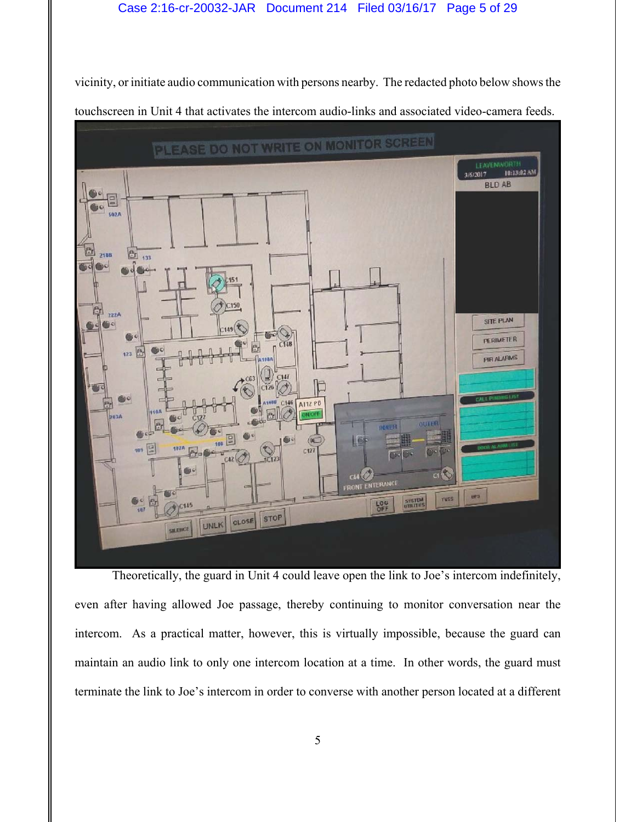## Case 2:16-cr-20032-JAR Document 214 Filed 03/16/17 Page 5 of 29

vicinity, or initiate audio communication with persons nearby. The redacted photo below shows the touchscreen in Unit 4 that activates the intercom audio-links and associated video-camera feeds.



Theoretically, the guard in Unit 4 could leave open the link to Joe's intercom indefinitely, even after having allowed Joe passage, thereby continuing to monitor conversation near the intercom. As a practical matter, however, this is virtually impossible, because the guard can maintain an audio link to only one intercom location at a time. In other words, the guard must terminate the link to Joe's intercom in order to converse with another person located at a different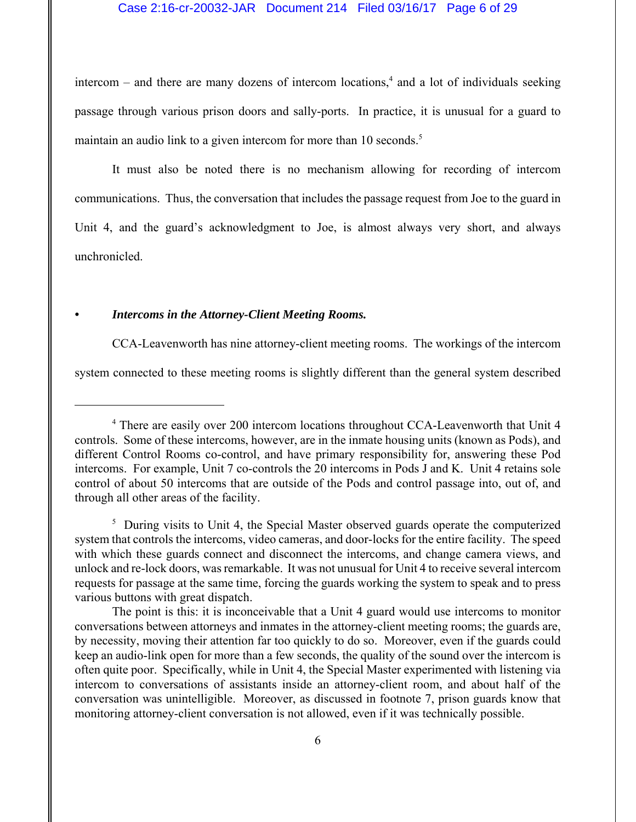#### Case 2:16-cr-20032-JAR Document 214 Filed 03/16/17 Page 6 of 29

intercom – and there are many dozens of intercom locations,<sup>4</sup> and a lot of individuals seeking passage through various prison doors and sally-ports. In practice, it is unusual for a guard to maintain an audio link to a given intercom for more than 10 seconds.<sup>5</sup>

It must also be noted there is no mechanism allowing for recording of intercom communications. Thus, the conversation that includes the passage request from Joe to the guard in Unit 4, and the guard's acknowledgment to Joe, is almost always very short, and always unchronicled.

## *• Intercoms in the Attorney-Client Meeting Rooms.*

CCA-Leavenworth has nine attorney-client meeting rooms. The workings of the intercom system connected to these meeting rooms is slightly different than the general system described

<sup>&</sup>lt;sup>4</sup> There are easily over 200 intercom locations throughout CCA-Leavenworth that Unit 4 controls. Some of these intercoms, however, are in the inmate housing units (known as Pods), and different Control Rooms co-control, and have primary responsibility for, answering these Pod intercoms. For example, Unit 7 co-controls the 20 intercoms in Pods J and K. Unit 4 retains sole control of about 50 intercoms that are outside of the Pods and control passage into, out of, and through all other areas of the facility.

<sup>&</sup>lt;sup>5</sup> During visits to Unit 4, the Special Master observed guards operate the computerized system that controls the intercoms, video cameras, and door-locks for the entire facility. The speed with which these guards connect and disconnect the intercoms, and change camera views, and unlock and re-lock doors, was remarkable. It was not unusual for Unit 4 to receive several intercom requests for passage at the same time, forcing the guards working the system to speak and to press various buttons with great dispatch.

The point is this: it is inconceivable that a Unit 4 guard would use intercoms to monitor conversations between attorneys and inmates in the attorney-client meeting rooms; the guards are, by necessity, moving their attention far too quickly to do so. Moreover, even if the guards could keep an audio-link open for more than a few seconds, the quality of the sound over the intercom is often quite poor. Specifically, while in Unit 4, the Special Master experimented with listening via intercom to conversations of assistants inside an attorney-client room, and about half of the conversation was unintelligible. Moreover, as discussed in footnote 7, prison guards know that monitoring attorney-client conversation is not allowed, even if it was technically possible.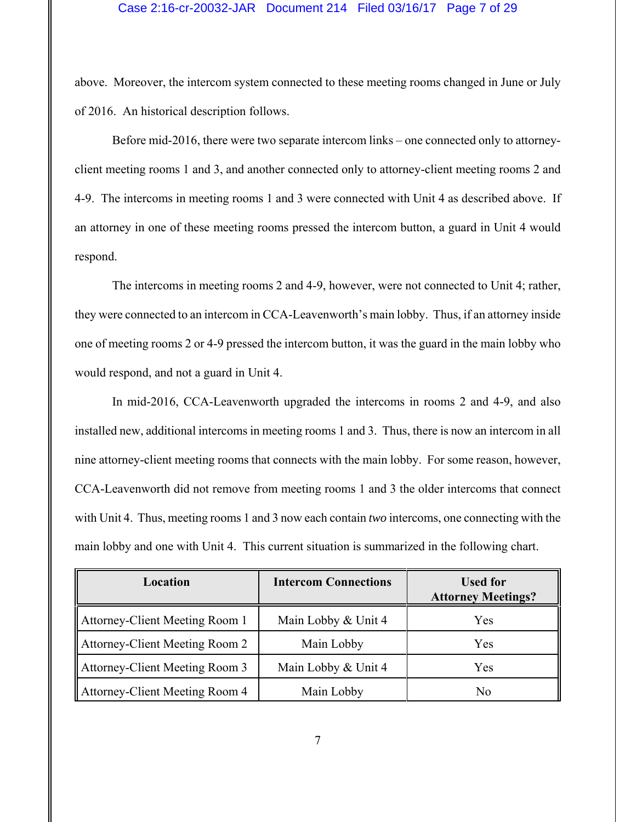#### Case 2:16-cr-20032-JAR Document 214 Filed 03/16/17 Page 7 of 29

above. Moreover, the intercom system connected to these meeting rooms changed in June or July of 2016. An historical description follows.

Before mid-2016, there were two separate intercom links – one connected only to attorneyclient meeting rooms 1 and 3, and another connected only to attorney-client meeting rooms 2 and 4-9. The intercoms in meeting rooms 1 and 3 were connected with Unit 4 as described above. If an attorney in one of these meeting rooms pressed the intercom button, a guard in Unit 4 would respond.

The intercoms in meeting rooms 2 and 4-9, however, were not connected to Unit 4; rather, they were connected to an intercom in CCA-Leavenworth's main lobby. Thus, if an attorney inside one of meeting rooms 2 or 4-9 pressed the intercom button, it was the guard in the main lobby who would respond, and not a guard in Unit 4.

In mid-2016, CCA-Leavenworth upgraded the intercoms in rooms 2 and 4-9, and also installed new, additional intercoms in meeting rooms 1 and 3. Thus, there is now an intercom in all nine attorney-client meeting rooms that connects with the main lobby. For some reason, however, CCA-Leavenworth did not remove from meeting rooms 1 and 3 the older intercoms that connect with Unit 4. Thus, meeting rooms 1 and 3 now each contain *two* intercoms, one connecting with the main lobby and one with Unit 4. This current situation is summarized in the following chart.

| Location                       | <b>Intercom Connections</b> | <b>Used for</b><br><b>Attorney Meetings?</b> |
|--------------------------------|-----------------------------|----------------------------------------------|
| Attorney-Client Meeting Room 1 | Main Lobby & Unit 4         | Yes                                          |
| Attorney-Client Meeting Room 2 | Main Lobby                  | <b>Yes</b>                                   |
| Attorney-Client Meeting Room 3 | Main Lobby & Unit 4         | Yes                                          |
| Attorney-Client Meeting Room 4 | Main Lobby                  | No                                           |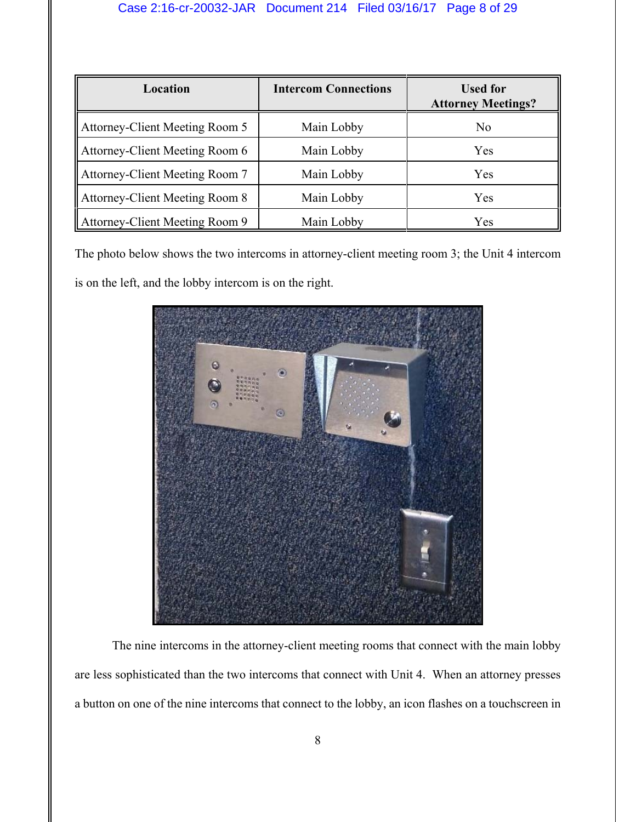| Location                       | <b>Intercom Connections</b> | <b>Used for</b><br><b>Attorney Meetings?</b> |
|--------------------------------|-----------------------------|----------------------------------------------|
| Attorney-Client Meeting Room 5 | Main Lobby                  | No.                                          |
| Attorney-Client Meeting Room 6 | Main Lobby                  | Yes                                          |
| Attorney-Client Meeting Room 7 | Main Lobby                  | Yes                                          |
| Attorney-Client Meeting Room 8 | Main Lobby                  | Yes                                          |
| Attorney-Client Meeting Room 9 | Main Lobby                  | Yes                                          |

The photo below shows the two intercoms in attorney-client meeting room 3; the Unit 4 intercom is on the left, and the lobby intercom is on the right.



The nine intercoms in the attorney-client meeting rooms that connect with the main lobby are less sophisticated than the two intercoms that connect with Unit 4. When an attorney presses a button on one of the nine intercoms that connect to the lobby, an icon flashes on a touchscreen in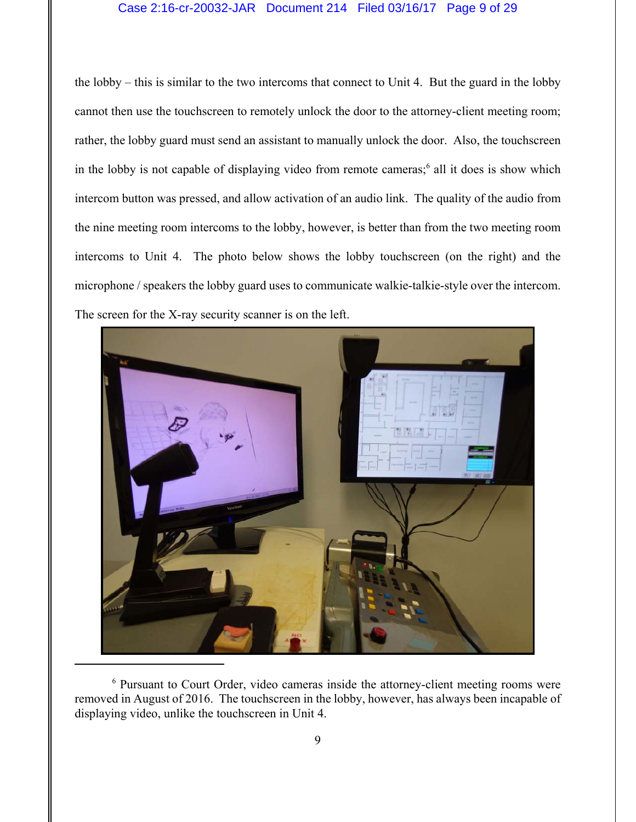#### Case 2:16-cr-20032-JAR Document 214 Filed 03/16/17 Page 9 of 29

the lobby – this is similar to the two intercoms that connect to Unit 4. But the guard in the lobby cannot then use the touchscreen to remotely unlock the door to the attorney-client meeting room; rather, the lobby guard must send an assistant to manually unlock the door. Also, the touchscreen in the lobby is not capable of displaying video from remote cameras;<sup>6</sup> all it does is show which intercom button was pressed, and allow activation of an audio link. The quality of the audio from the nine meeting room intercoms to the lobby, however, is better than from the two meeting room intercoms to Unit 4. The photo below shows the lobby touchscreen (on the right) and the microphone / speakers the lobby guard uses to communicate walkie-talkie-style over the intercom. The screen for the X-ray security scanner is on the left.



<sup>&</sup>lt;sup>6</sup> Pursuant to Court Order, video cameras inside the attorney-client meeting rooms were removed in August of 2016. The touchscreen in the lobby, however, has always been incapable of displaying video, unlike the touchscreen in Unit 4.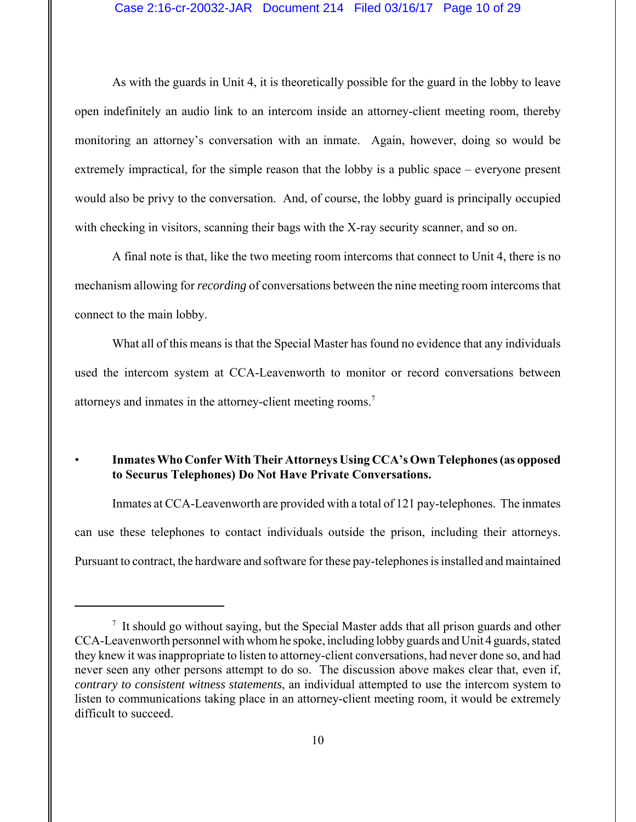#### Case 2:16-cr-20032-JAR Document 214 Filed 03/16/17 Page 10 of 29

As with the guards in Unit 4, it is theoretically possible for the guard in the lobby to leave open indefinitely an audio link to an intercom inside an attorney-client meeting room, thereby monitoring an attorney's conversation with an inmate. Again, however, doing so would be extremely impractical, for the simple reason that the lobby is a public space – everyone present would also be privy to the conversation. And, of course, the lobby guard is principally occupied with checking in visitors, scanning their bags with the X-ray security scanner, and so on.

A final note is that, like the two meeting room intercoms that connect to Unit 4, there is no mechanism allowing for *recording* of conversations between the nine meeting room intercoms that connect to the main lobby.

What all of this means is that the Special Master has found no evidence that any individuals used the intercom system at CCA-Leavenworth to monitor or record conversations between attorneys and inmates in the attorney-client meeting rooms.7

## • **Inmates Who Confer With Their Attorneys Using CCA's Own Telephones (as opposed to Securus Telephones) Do Not Have Private Conversations.**

Inmates at CCA-Leavenworth are provided with a total of 121 pay-telephones. The inmates can use these telephones to contact individuals outside the prison, including their attorneys. Pursuant to contract, the hardware and software for these pay-telephones is installed and maintained

<sup>&</sup>lt;sup>7</sup> It should go without saying, but the Special Master adds that all prison guards and other CCA-Leavenworth personnel with whom he spoke, including lobby guards and Unit 4 guards, stated they knew it was inappropriate to listen to attorney-client conversations, had never done so, and had never seen any other persons attempt to do so. The discussion above makes clear that, even if, *contrary to consistent witness statements*, an individual attempted to use the intercom system to listen to communications taking place in an attorney-client meeting room, it would be extremely difficult to succeed.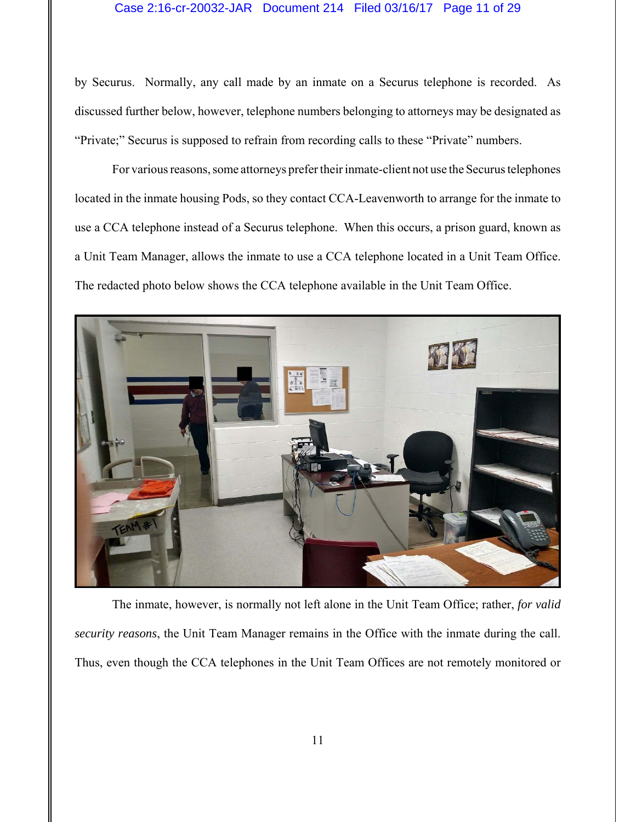#### Case 2:16-cr-20032-JAR Document 214 Filed 03/16/17 Page 11 of 29

by Securus. Normally, any call made by an inmate on a Securus telephone is recorded. As discussed further below, however, telephone numbers belonging to attorneys may be designated as "Private;" Securus is supposed to refrain from recording calls to these "Private" numbers.

For various reasons, some attorneys prefer their inmate-client not use the Securus telephones located in the inmate housing Pods, so they contact CCA-Leavenworth to arrange for the inmate to use a CCA telephone instead of a Securus telephone. When this occurs, a prison guard, known as a Unit Team Manager, allows the inmate to use a CCA telephone located in a Unit Team Office. The redacted photo below shows the CCA telephone available in the Unit Team Office.



The inmate, however, is normally not left alone in the Unit Team Office; rather, *for valid security reasons*, the Unit Team Manager remains in the Office with the inmate during the call. Thus, even though the CCA telephones in the Unit Team Offices are not remotely monitored or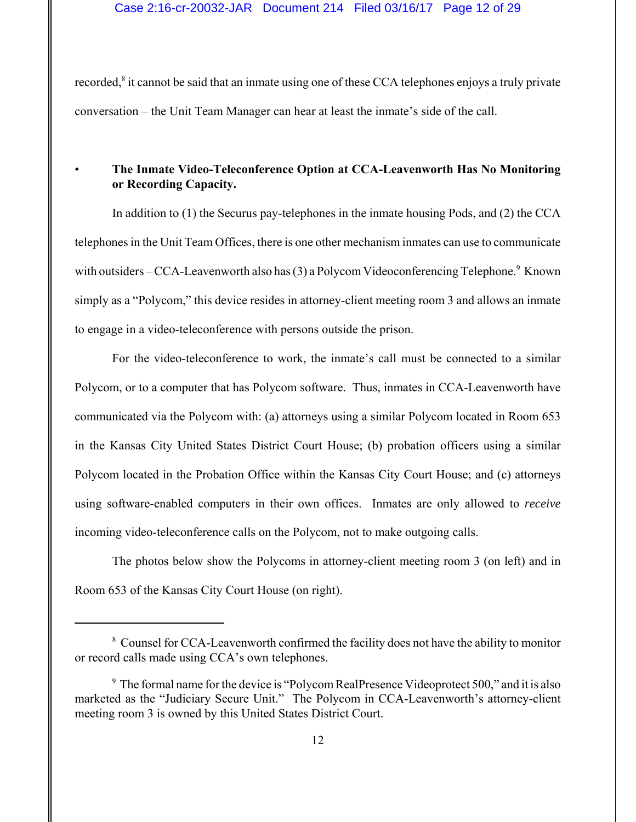recorded,<sup>8</sup> it cannot be said that an inmate using one of these CCA telephones enjoys a truly private conversation – the Unit Team Manager can hear at least the inmate's side of the call.

# • **The Inmate Video-Teleconference Option at CCA-Leavenworth Has No Monitoring or Recording Capacity.**

In addition to (1) the Securus pay-telephones in the inmate housing Pods, and (2) the CCA telephones in the Unit Team Offices, there is one other mechanism inmates can use to communicate with outsiders – CCA-Leavenworth also has (3) a Polycom Videoconferencing Telephone.<sup>9</sup> Known simply as a "Polycom," this device resides in attorney-client meeting room 3 and allows an inmate to engage in a video-teleconference with persons outside the prison.

For the video-teleconference to work, the inmate's call must be connected to a similar Polycom, or to a computer that has Polycom software. Thus, inmates in CCA-Leavenworth have communicated via the Polycom with: (a) attorneys using a similar Polycom located in Room 653 in the Kansas City United States District Court House; (b) probation officers using a similar Polycom located in the Probation Office within the Kansas City Court House; and (c) attorneys using software-enabled computers in their own offices. Inmates are only allowed to *receive* incoming video-teleconference calls on the Polycom, not to make outgoing calls.

The photos below show the Polycoms in attorney-client meeting room 3 (on left) and in Room 653 of the Kansas City Court House (on right).

<sup>&</sup>lt;sup>8</sup> Counsel for CCA-Leavenworth confirmed the facility does not have the ability to monitor or record calls made using CCA's own telephones.

 $9$  The formal name for the device is "Polycom RealPresence Videoprotect 500," and it is also marketed as the "Judiciary Secure Unit." The Polycom in CCA-Leavenworth's attorney-client meeting room 3 is owned by this United States District Court.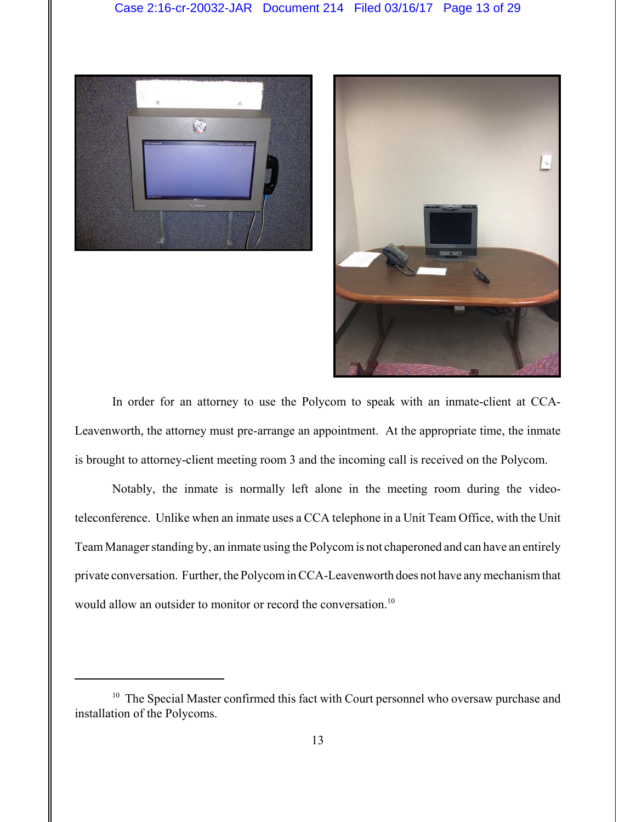



In order for an attorney to use the Polycom to speak with an inmate-client at CCA-Leavenworth, the attorney must pre-arrange an appointment. At the appropriate time, the inmate is brought to attorney-client meeting room 3 and the incoming call is received on the Polycom.

Notably, the inmate is normally left alone in the meeting room during the videoteleconference. Unlike when an inmate uses a CCA telephone in a Unit Team Office, with the Unit Team Manager standing by, an inmate using the Polycom is not chaperoned and can have an entirely private conversation. Further, the Polycom in CCA-Leavenworth does not have any mechanism that would allow an outsider to monitor or record the conversation.<sup>10</sup>

<sup>&</sup>lt;sup>10</sup> The Special Master confirmed this fact with Court personnel who oversaw purchase and installation of the Polycoms.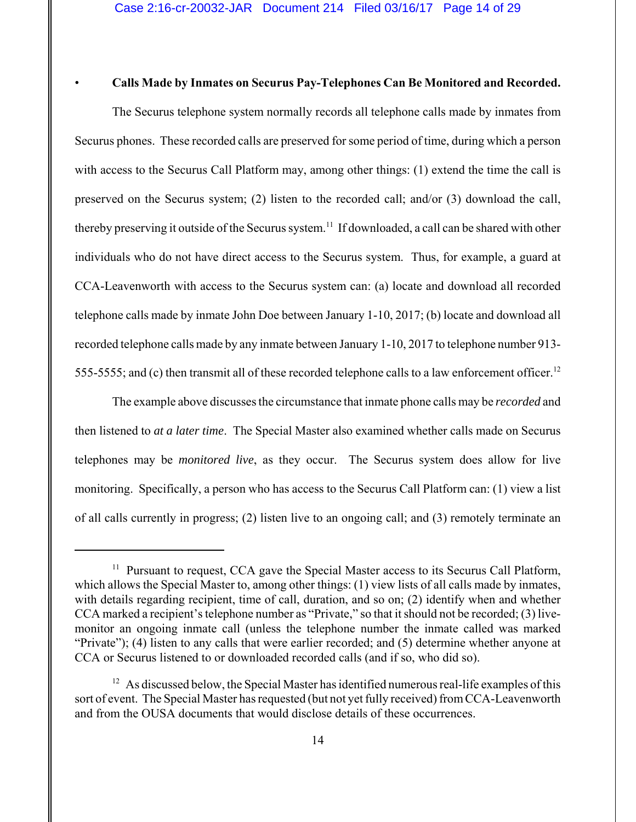#### • **Calls Made by Inmates on Securus Pay-Telephones Can Be Monitored and Recorded.**

The Securus telephone system normally records all telephone calls made by inmates from Securus phones. These recorded calls are preserved for some period of time, during which a person with access to the Securus Call Platform may, among other things: (1) extend the time the call is preserved on the Securus system; (2) listen to the recorded call; and/or (3) download the call, thereby preserving it outside of the Securus system.<sup>11</sup> If downloaded, a call can be shared with other individuals who do not have direct access to the Securus system. Thus, for example, a guard at CCA-Leavenworth with access to the Securus system can: (a) locate and download all recorded telephone calls made by inmate John Doe between January 1-10, 2017; (b) locate and download all recorded telephone calls made by any inmate between January 1-10, 2017 to telephone number 913- 555-5555; and (c) then transmit all of these recorded telephone calls to a law enforcement officer.<sup>12</sup>

The example above discusses the circumstance that inmate phone calls may be *recorded* and then listened to *at a later time*. The Special Master also examined whether calls made on Securus telephones may be *monitored live*, as they occur. The Securus system does allow for live monitoring. Specifically, a person who has access to the Securus Call Platform can: (1) view a list of all calls currently in progress; (2) listen live to an ongoing call; and (3) remotely terminate an

 $11$  Pursuant to request, CCA gave the Special Master access to its Securus Call Platform, which allows the Special Master to, among other things: (1) view lists of all calls made by inmates, with details regarding recipient, time of call, duration, and so on; (2) identify when and whether CCA marked a recipient's telephone number as "Private," so that it should not be recorded; (3) livemonitor an ongoing inmate call (unless the telephone number the inmate called was marked "Private"); (4) listen to any calls that were earlier recorded; and (5) determine whether anyone at CCA or Securus listened to or downloaded recorded calls (and if so, who did so).

 $12$  As discussed below, the Special Master has identified numerous real-life examples of this sort of event. The Special Master has requested (but not yet fully received) from CCA-Leavenworth and from the OUSA documents that would disclose details of these occurrences.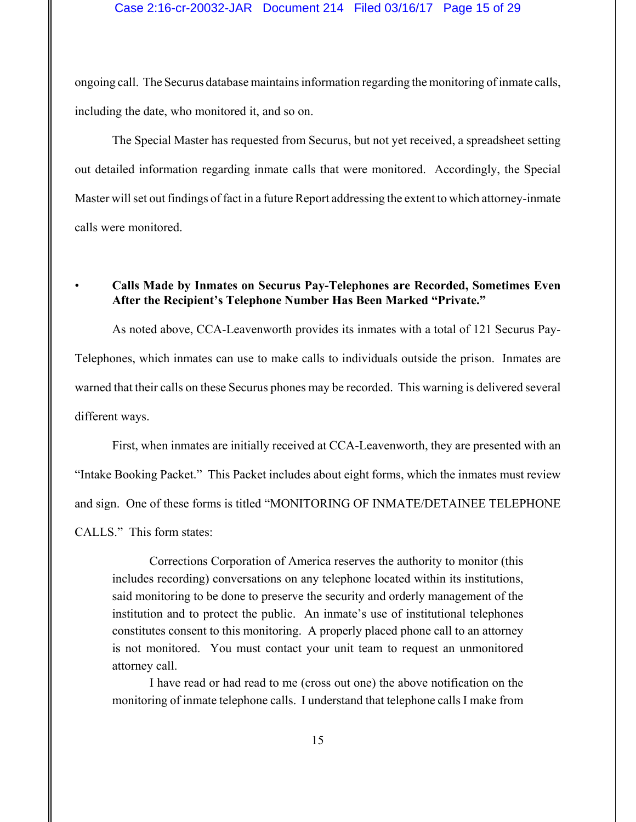ongoing call. The Securus database maintains information regarding the monitoring of inmate calls, including the date, who monitored it, and so on.

The Special Master has requested from Securus, but not yet received, a spreadsheet setting out detailed information regarding inmate calls that were monitored. Accordingly, the Special Master will set out findings of fact in a future Report addressing the extent to which attorney-inmate calls were monitored.

## • **Calls Made by Inmates on Securus Pay-Telephones are Recorded, Sometimes Even After the Recipient's Telephone Number Has Been Marked "Private."**

As noted above, CCA-Leavenworth provides its inmates with a total of 121 Securus Pay-Telephones, which inmates can use to make calls to individuals outside the prison. Inmates are warned that their calls on these Securus phones may be recorded. This warning is delivered several different ways.

First, when inmates are initially received at CCA-Leavenworth, they are presented with an "Intake Booking Packet." This Packet includes about eight forms, which the inmates must review and sign. One of these forms is titled "MONITORING OF INMATE/DETAINEE TELEPHONE CALLS." This form states:

Corrections Corporation of America reserves the authority to monitor (this includes recording) conversations on any telephone located within its institutions, said monitoring to be done to preserve the security and orderly management of the institution and to protect the public. An inmate's use of institutional telephones constitutes consent to this monitoring. A properly placed phone call to an attorney is not monitored. You must contact your unit team to request an unmonitored attorney call.

I have read or had read to me (cross out one) the above notification on the monitoring of inmate telephone calls. I understand that telephone calls I make from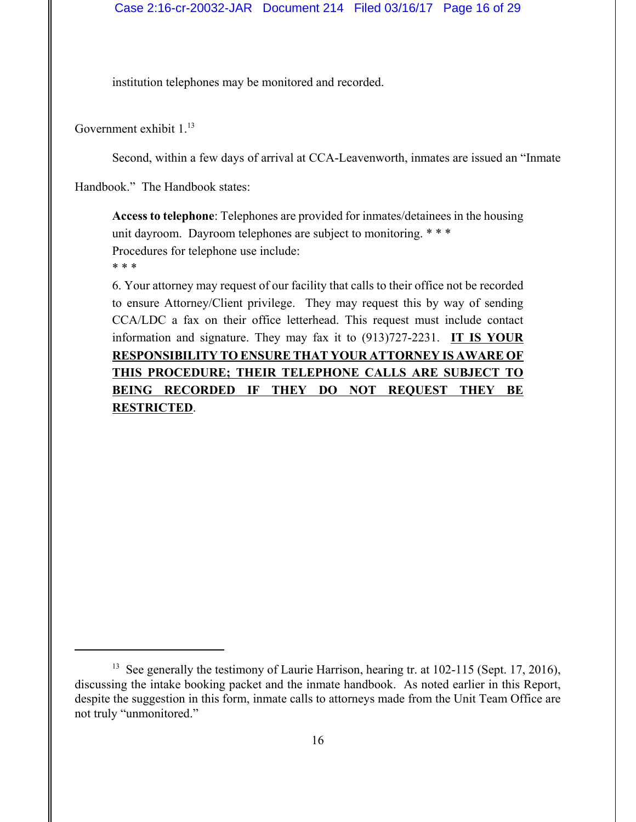institution telephones may be monitored and recorded.

Government exhibit 1.<sup>13</sup>

Second, within a few days of arrival at CCA-Leavenworth, inmates are issued an "Inmate

Handbook." The Handbook states:

**Access to telephone**: Telephones are provided for inmates/detainees in the housing unit dayroom. Dayroom telephones are subject to monitoring. \* \* \* Procedures for telephone use include:

\* \* \*

6. Your attorney may request of our facility that calls to their office not be recorded to ensure Attorney/Client privilege. They may request this by way of sending CCA/LDC a fax on their office letterhead. This request must include contact information and signature. They may fax it to (913)727-2231. **IT IS YOUR RESPONSIBILITY TO ENSURE THAT YOUR ATTORNEY IS AWARE OF THIS PROCEDURE; THEIR TELEPHONE CALLS ARE SUBJECT TO BEING RECORDED IF THEY DO NOT REQUEST THEY BE RESTRICTED**.

<sup>&</sup>lt;sup>13</sup> See generally the testimony of Laurie Harrison, hearing tr. at  $102-115$  (Sept. 17, 2016), discussing the intake booking packet and the inmate handbook. As noted earlier in this Report, despite the suggestion in this form, inmate calls to attorneys made from the Unit Team Office are not truly "unmonitored."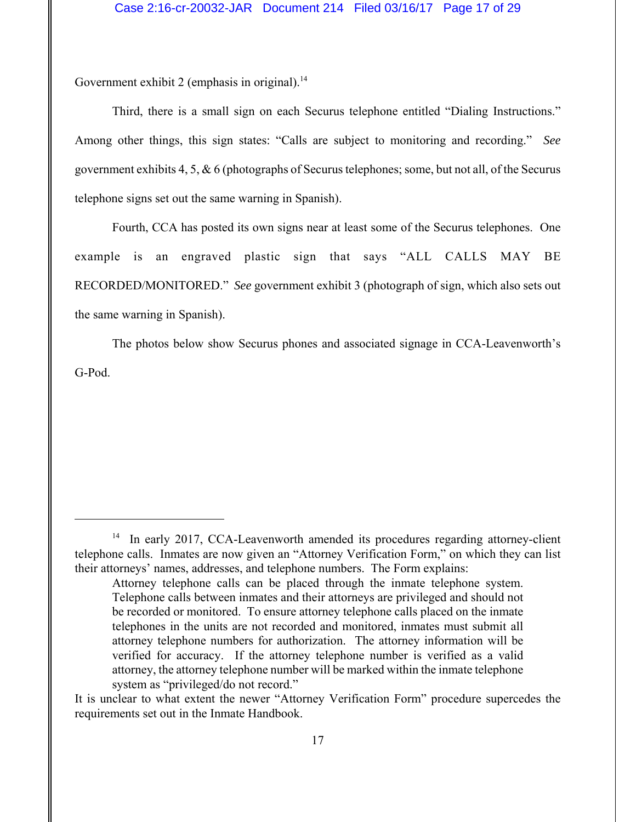Government exhibit 2 (emphasis in original). $^{14}$ 

Third, there is a small sign on each Securus telephone entitled "Dialing Instructions." Among other things, this sign states: "Calls are subject to monitoring and recording." *See* government exhibits 4, 5, & 6 (photographs of Securus telephones; some, but not all, of the Securus telephone signs set out the same warning in Spanish).

Fourth, CCA has posted its own signs near at least some of the Securus telephones. One example is an engraved plastic sign that says "ALL CALLS MAY BE RECORDED/MONITORED." *See* government exhibit 3 (photograph of sign, which also sets out the same warning in Spanish).

The photos below show Securus phones and associated signage in CCA-Leavenworth's G-Pod.

It is unclear to what extent the newer "Attorney Verification Form" procedure supercedes the requirements set out in the Inmate Handbook.

<sup>&</sup>lt;sup>14</sup> In early 2017, CCA-Leavenworth amended its procedures regarding attorney-client telephone calls. Inmates are now given an "Attorney Verification Form," on which they can list their attorneys' names, addresses, and telephone numbers. The Form explains:

Attorney telephone calls can be placed through the inmate telephone system. Telephone calls between inmates and their attorneys are privileged and should not be recorded or monitored. To ensure attorney telephone calls placed on the inmate telephones in the units are not recorded and monitored, inmates must submit all attorney telephone numbers for authorization. The attorney information will be verified for accuracy. If the attorney telephone number is verified as a valid attorney, the attorney telephone number will be marked within the inmate telephone system as "privileged/do not record."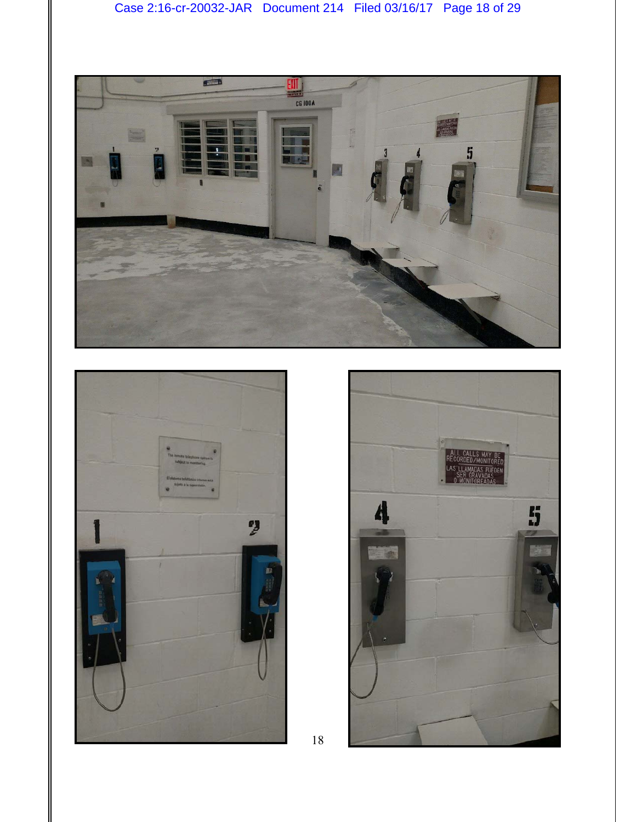# Case 2:16-cr-20032-JAR Document 214 Filed 03/16/17 Page 18 of 29







18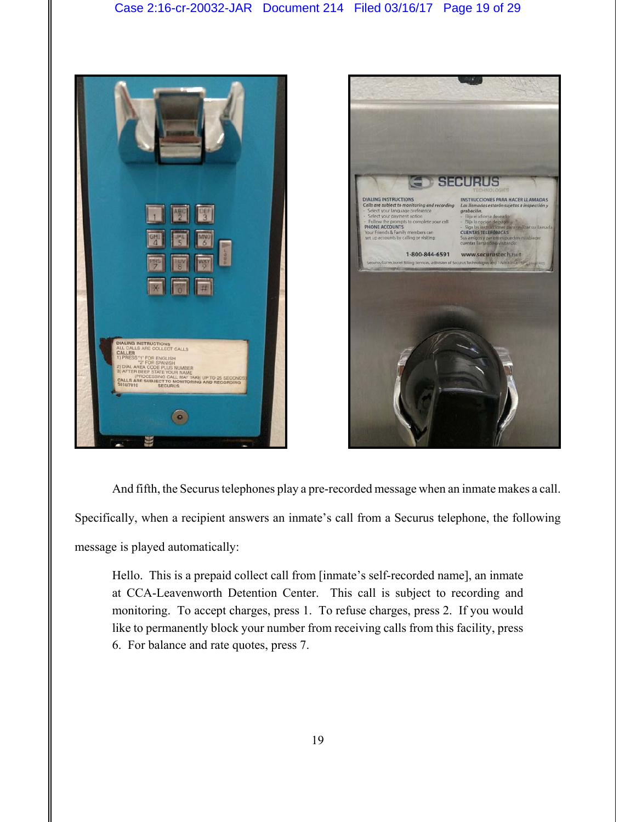



And fifth, the Securus telephones play a pre-recorded message when an inmate makes a call. Specifically, when a recipient answers an inmate's call from a Securus telephone, the following message is played automatically:

Hello. This is a prepaid collect call from [inmate's self-recorded name], an inmate at CCA-Leavenworth Detention Center. This call is subject to recording and monitoring. To accept charges, press 1. To refuse charges, press 2. If you would like to permanently block your number from receiving calls from this facility, press 6. For balance and rate quotes, press 7.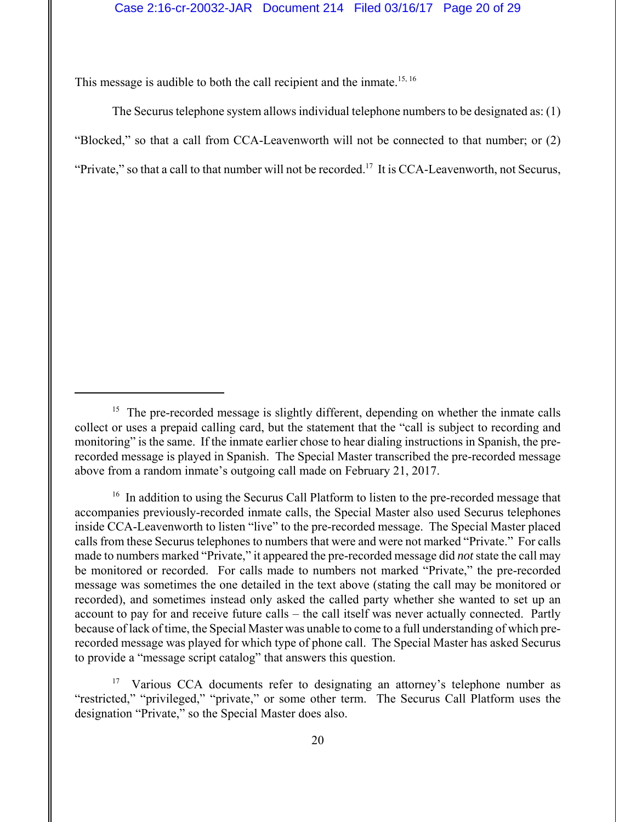This message is audible to both the call recipient and the inmate.<sup>15, 16</sup>

The Securus telephone system allows individual telephone numbers to be designated as: (1) "Blocked," so that a call from CCA-Leavenworth will not be connected to that number; or (2) "Private," so that a call to that number will not be recorded.<sup>17</sup> It is CCA-Leavenworth, not Securus,

 $16$  In addition to using the Securus Call Platform to listen to the pre-recorded message that accompanies previously-recorded inmate calls, the Special Master also used Securus telephones inside CCA-Leavenworth to listen "live" to the pre-recorded message. The Special Master placed calls from these Securus telephones to numbers that were and were not marked "Private." For calls made to numbers marked "Private," it appeared the pre-recorded message did *not* state the call may be monitored or recorded. For calls made to numbers not marked "Private," the pre-recorded message was sometimes the one detailed in the text above (stating the call may be monitored or recorded), and sometimes instead only asked the called party whether she wanted to set up an account to pay for and receive future calls – the call itself was never actually connected. Partly because of lack of time, the Special Master was unable to come to a full understanding of which prerecorded message was played for which type of phone call. The Special Master has asked Securus to provide a "message script catalog" that answers this question.

<sup>17</sup> Various CCA documents refer to designating an attorney's telephone number as "restricted," "privileged," "private," or some other term. The Securus Call Platform uses the designation "Private," so the Special Master does also.

<sup>&</sup>lt;sup>15</sup> The pre-recorded message is slightly different, depending on whether the inmate calls collect or uses a prepaid calling card, but the statement that the "call is subject to recording and monitoring" is the same. If the inmate earlier chose to hear dialing instructions in Spanish, the prerecorded message is played in Spanish. The Special Master transcribed the pre-recorded message above from a random inmate's outgoing call made on February 21, 2017.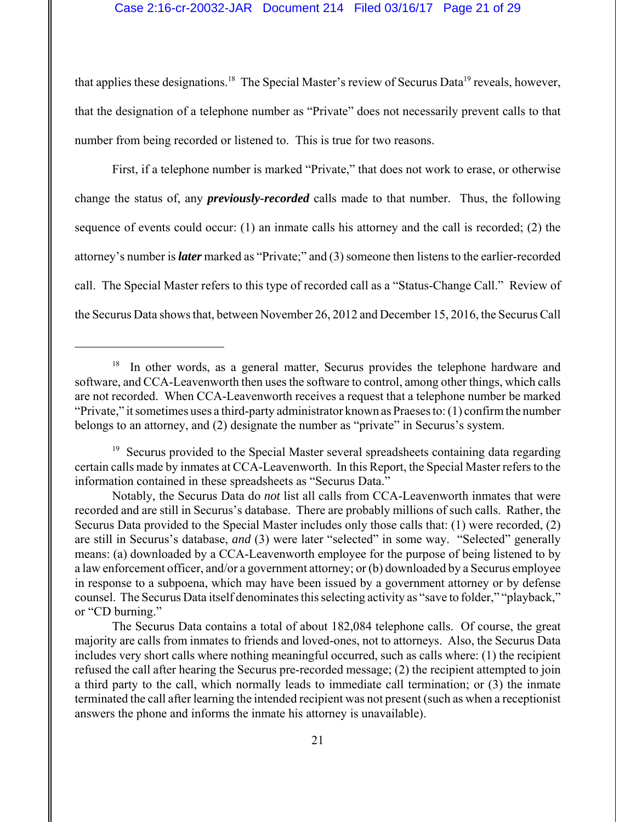#### Case 2:16-cr-20032-JAR Document 214 Filed 03/16/17 Page 21 of 29

that applies these designations.<sup>18</sup> The Special Master's review of Securus Data<sup>19</sup> reveals, however, that the designation of a telephone number as "Private" does not necessarily prevent calls to that number from being recorded or listened to. This is true for two reasons.

First, if a telephone number is marked "Private," that does not work to erase, or otherwise change the status of, any *previously-recorded* calls made to that number. Thus, the following sequence of events could occur: (1) an inmate calls his attorney and the call is recorded; (2) the attorney's number is *later* marked as "Private;" and (3) someone then listens to the earlier-recorded call. The Special Master refers to this type of recorded call as a "Status-Change Call." Review of the Securus Data shows that, between November 26, 2012 and December 15, 2016, the Securus Call

<sup>&</sup>lt;sup>18</sup> In other words, as a general matter, Securus provides the telephone hardware and software, and CCA-Leavenworth then uses the software to control, among other things, which calls are not recorded. When CCA-Leavenworth receives a request that a telephone number be marked "Private," it sometimes uses a third-party administrator known as Praeses to: (1) confirm the number belongs to an attorney, and (2) designate the number as "private" in Securus's system.

 $19$  Securus provided to the Special Master several spreadsheets containing data regarding certain calls made by inmates at CCA-Leavenworth. In this Report, the Special Master refers to the information contained in these spreadsheets as "Securus Data."

Notably, the Securus Data do *not* list all calls from CCA-Leavenworth inmates that were recorded and are still in Securus's database. There are probably millions of such calls. Rather, the Securus Data provided to the Special Master includes only those calls that: (1) were recorded, (2) are still in Securus's database, *and* (3) were later "selected" in some way. "Selected" generally means: (a) downloaded by a CCA-Leavenworth employee for the purpose of being listened to by a law enforcement officer, and/or a government attorney; or (b) downloaded by a Securus employee in response to a subpoena, which may have been issued by a government attorney or by defense counsel. The Securus Data itself denominates this selecting activity as "save to folder," "playback," or "CD burning."

The Securus Data contains a total of about 182,084 telephone calls. Of course, the great majority are calls from inmates to friends and loved-ones, not to attorneys. Also, the Securus Data includes very short calls where nothing meaningful occurred, such as calls where: (1) the recipient refused the call after hearing the Securus pre-recorded message; (2) the recipient attempted to join a third party to the call, which normally leads to immediate call termination; or (3) the inmate terminated the call after learning the intended recipient was not present (such as when a receptionist answers the phone and informs the inmate his attorney is unavailable).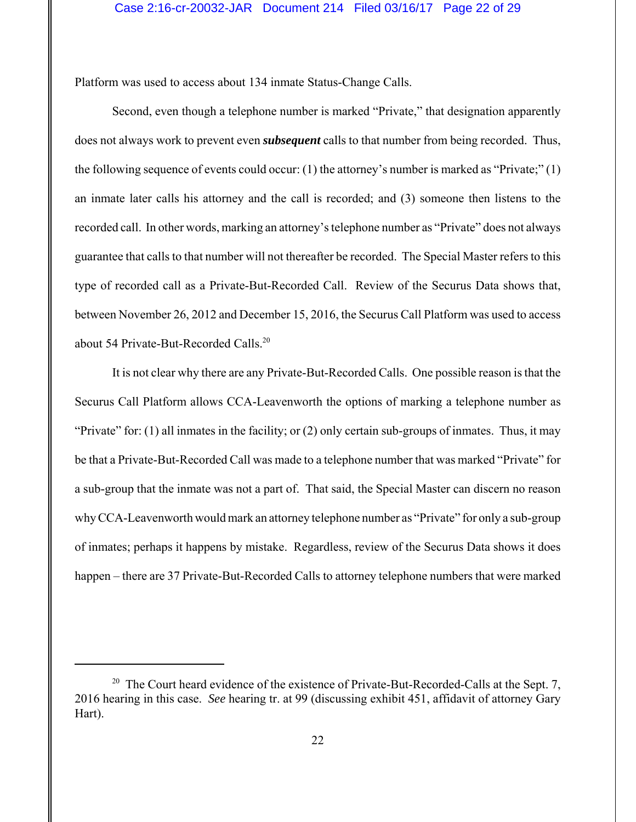Platform was used to access about 134 inmate Status-Change Calls.

Second, even though a telephone number is marked "Private," that designation apparently does not always work to prevent even *subsequent* calls to that number from being recorded. Thus, the following sequence of events could occur: (1) the attorney's number is marked as "Private;" (1) an inmate later calls his attorney and the call is recorded; and (3) someone then listens to the recorded call. In other words, marking an attorney's telephone number as "Private" does not always guarantee that calls to that number will not thereafter be recorded. The Special Master refers to this type of recorded call as a Private-But-Recorded Call. Review of the Securus Data shows that, between November 26, 2012 and December 15, 2016, the Securus Call Platform was used to access about 54 Private-But-Recorded Calls.20

It is not clear why there are any Private-But-Recorded Calls. One possible reason is that the Securus Call Platform allows CCA-Leavenworth the options of marking a telephone number as "Private" for:  $(1)$  all inmates in the facility; or  $(2)$  only certain sub-groups of inmates. Thus, it may be that a Private-But-Recorded Call was made to a telephone number that was marked "Private" for a sub-group that the inmate was not a part of. That said, the Special Master can discern no reason why CCA-Leavenworth would mark an attorney telephone number as "Private" for only a sub-group of inmates; perhaps it happens by mistake. Regardless, review of the Securus Data shows it does happen – there are 37 Private-But-Recorded Calls to attorney telephone numbers that were marked

<sup>&</sup>lt;sup>20</sup> The Court heard evidence of the existence of Private-But-Recorded-Calls at the Sept. 7, 2016 hearing in this case. *See* hearing tr. at 99 (discussing exhibit 451, affidavit of attorney Gary Hart).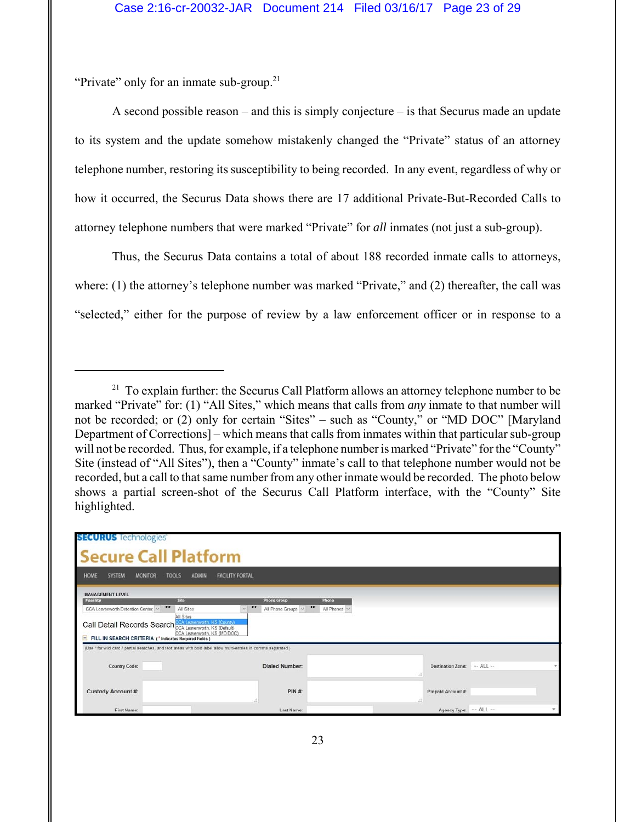"Private" only for an inmate sub-group. $21$ 

A second possible reason – and this is simply conjecture – is that Securus made an update to its system and the update somehow mistakenly changed the "Private" status of an attorney telephone number, restoring its susceptibility to being recorded. In any event, regardless of why or how it occurred, the Securus Data shows there are 17 additional Private-But-Recorded Calls to attorney telephone numbers that were marked "Private" for *all* inmates (not just a sub-group).

Thus, the Securus Data contains a total of about 188 recorded inmate calls to attorneys, where: (1) the attorney's telephone number was marked "Private," and (2) thereafter, the call was "selected," either for the purpose of review by a law enforcement officer or in response to a

| <b>SECURUS</b> lechnologies                                                                                      |                                                                        |                             |   |  |  |
|------------------------------------------------------------------------------------------------------------------|------------------------------------------------------------------------|-----------------------------|---|--|--|
| <b>Secure Call Platform</b>                                                                                      |                                                                        |                             |   |  |  |
| <b>HOME</b><br><b>SYSTEM</b><br><b>MONITOR</b><br><b>TOOLS</b>                                                   | <b>ADMIN</b><br><b>FACILITY PORTAL</b>                                 |                             |   |  |  |
| <b>MANAGEMENT LEVEL</b>                                                                                          |                                                                        |                             |   |  |  |
| Facility<br>Site<br>CCA Leavenworth Detention Center<br>All Sites<br>All Sites                                   | <b>Phone Group</b><br>$\rightarrow$<br>All Phone Groups ~ >><br>$\sim$ | Phone<br>All Phones         |   |  |  |
| Call Detail Records Search CCA Leavenworth, KS (County)<br>FILL IN SEARCH CRITERIA (* Indicates Required Fields) | CCA Leavenworth, KS (MD DOC)                                           |                             |   |  |  |
| (Use * for wild card / partial searches, and text areas with bold label allow multi-entries in comma separated.) |                                                                        |                             |   |  |  |
| Country Code:                                                                                                    | <b>Dialed Number:</b>                                                  | Destination Zone: -- ALL -- | ٠ |  |  |
|                                                                                                                  |                                                                        |                             |   |  |  |
| <b>Custody Account#:</b>                                                                                         | <b>PIN#:</b>                                                           | Prepaid Account #:          |   |  |  |
| First Name:                                                                                                      | Last Name:                                                             | Agency Type: -- ALL --      | ÷ |  |  |

 $21$  To explain further: the Securus Call Platform allows an attorney telephone number to be marked "Private" for: (1) "All Sites," which means that calls from *any* inmate to that number will not be recorded; or (2) only for certain "Sites" – such as "County," or "MD DOC" [Maryland Department of Corrections] – which means that calls from inmates within that particular sub-group will not be recorded. Thus, for example, if a telephone number is marked "Private" for the "County" Site (instead of "All Sites"), then a "County" inmate's call to that telephone number would not be recorded, but a call to that same number from any other inmate would be recorded. The photo below shows a partial screen-shot of the Securus Call Platform interface, with the "County" Site highlighted.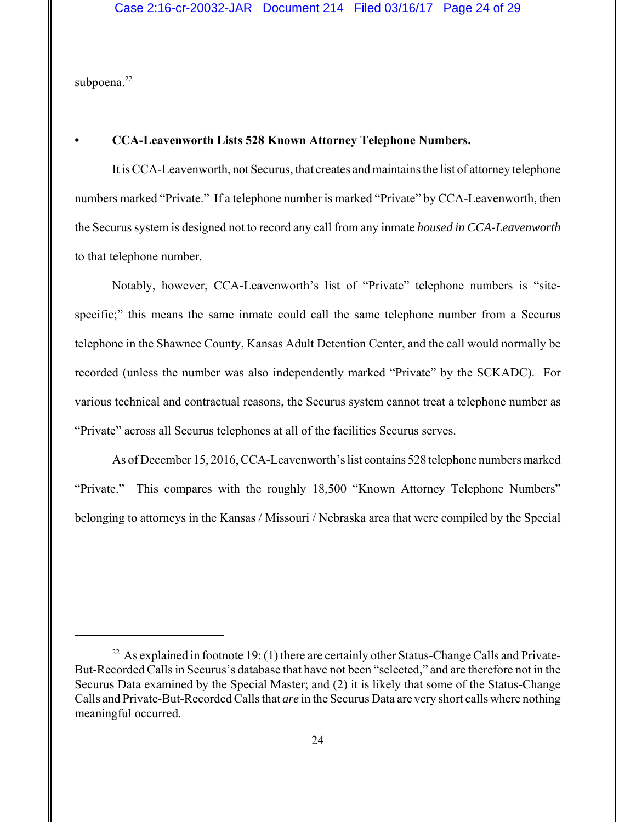subpoena.<sup>22</sup>

## **• CCA-Leavenworth Lists 528 Known Attorney Telephone Numbers.**

It is CCA-Leavenworth, not Securus, that creates and maintains the list of attorney telephone numbers marked "Private." If a telephone number is marked "Private" by CCA-Leavenworth, then the Securus system is designed not to record any call from any inmate *housed in CCA-Leavenworth* to that telephone number.

Notably, however, CCA-Leavenworth's list of "Private" telephone numbers is "sitespecific;" this means the same inmate could call the same telephone number from a Securus telephone in the Shawnee County, Kansas Adult Detention Center, and the call would normally be recorded (unless the number was also independently marked "Private" by the SCKADC). For various technical and contractual reasons, the Securus system cannot treat a telephone number as "Private" across all Securus telephones at all of the facilities Securus serves.

As of December 15, 2016, CCA-Leavenworth's list contains 528 telephone numbers marked "Private." This compares with the roughly 18,500 "Known Attorney Telephone Numbers" belonging to attorneys in the Kansas / Missouri / Nebraska area that were compiled by the Special

<sup>&</sup>lt;sup>22</sup> As explained in footnote 19: (1) there are certainly other Status-Change Calls and Private-But-Recorded Calls in Securus's database that have not been "selected," and are therefore not in the Securus Data examined by the Special Master; and (2) it is likely that some of the Status-Change Calls and Private-But-Recorded Calls that *are* in the Securus Data are very short calls where nothing meaningful occurred.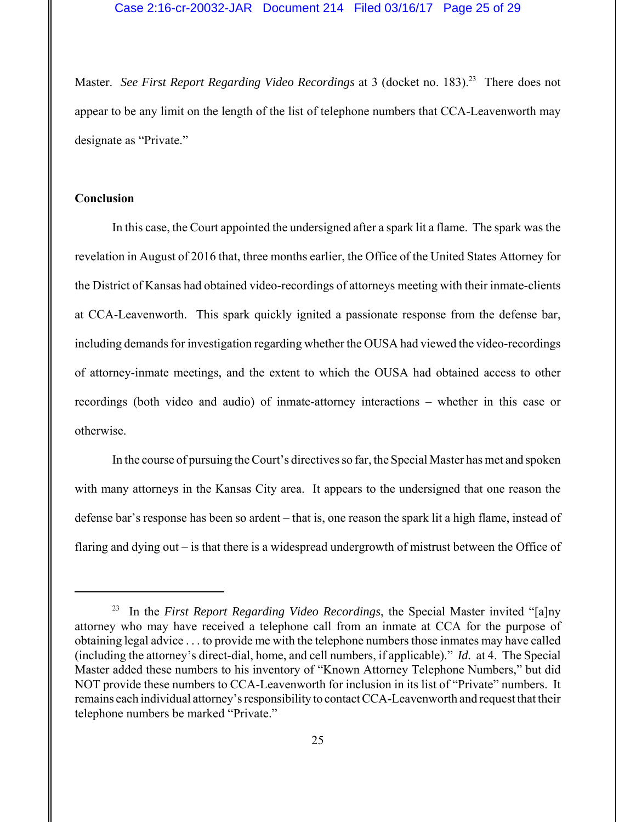Master. *See First Report Regarding Video Recordings* at 3 (docket no. 183).<sup>23</sup> There does not appear to be any limit on the length of the list of telephone numbers that CCA-Leavenworth may designate as "Private."

## **Conclusion**

In this case, the Court appointed the undersigned after a spark lit a flame. The spark was the revelation in August of 2016 that, three months earlier, the Office of the United States Attorney for the District of Kansas had obtained video-recordings of attorneys meeting with their inmate-clients at CCA-Leavenworth. This spark quickly ignited a passionate response from the defense bar, including demands for investigation regarding whether the OUSA had viewed the video-recordings of attorney-inmate meetings, and the extent to which the OUSA had obtained access to other recordings (both video and audio) of inmate-attorney interactions – whether in this case or otherwise.

In the course of pursuing the Court's directives so far, the Special Master has met and spoken with many attorneys in the Kansas City area. It appears to the undersigned that one reason the defense bar's response has been so ardent – that is, one reason the spark lit a high flame, instead of flaring and dying out – is that there is a widespread undergrowth of mistrust between the Office of

<sup>&</sup>lt;sup>23</sup> In the *First Report Regarding Video Recordings*, the Special Master invited "[a]ny attorney who may have received a telephone call from an inmate at CCA for the purpose of obtaining legal advice . . . to provide me with the telephone numbers those inmates may have called (including the attorney's direct-dial, home, and cell numbers, if applicable)." *Id.* at 4. The Special Master added these numbers to his inventory of "Known Attorney Telephone Numbers," but did NOT provide these numbers to CCA-Leavenworth for inclusion in its list of "Private" numbers. It remains each individual attorney's responsibility to contact CCA-Leavenworth and request that their telephone numbers be marked "Private."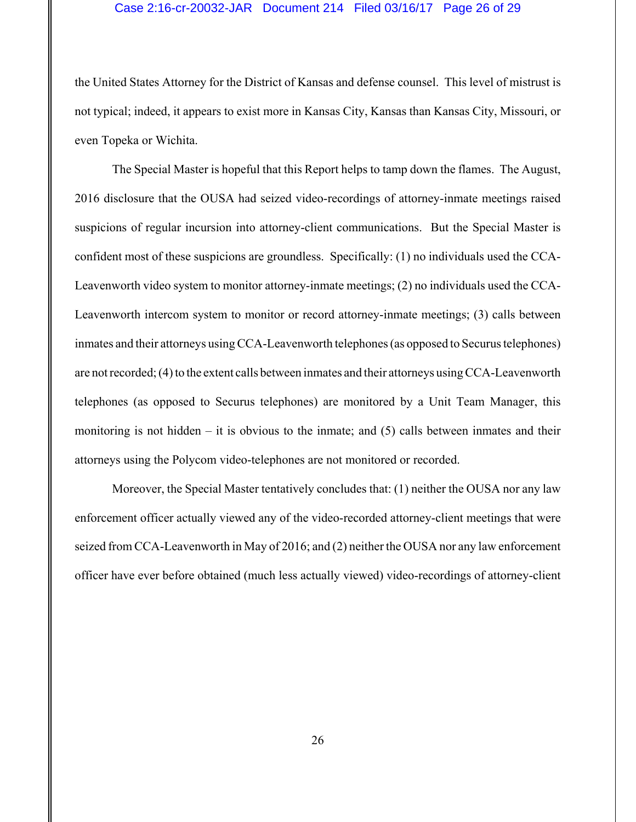#### Case 2:16-cr-20032-JAR Document 214 Filed 03/16/17 Page 26 of 29

the United States Attorney for the District of Kansas and defense counsel. This level of mistrust is not typical; indeed, it appears to exist more in Kansas City, Kansas than Kansas City, Missouri, or even Topeka or Wichita.

The Special Master is hopeful that this Report helps to tamp down the flames. The August, 2016 disclosure that the OUSA had seized video-recordings of attorney-inmate meetings raised suspicions of regular incursion into attorney-client communications. But the Special Master is confident most of these suspicions are groundless. Specifically: (1) no individuals used the CCA-Leavenworth video system to monitor attorney-inmate meetings; (2) no individuals used the CCA-Leavenworth intercom system to monitor or record attorney-inmate meetings; (3) calls between inmates and their attorneys using CCA-Leavenworth telephones (as opposed to Securus telephones) are not recorded; (4) to the extent calls between inmates and their attorneys using CCA-Leavenworth telephones (as opposed to Securus telephones) are monitored by a Unit Team Manager, this monitoring is not hidden – it is obvious to the inmate; and  $(5)$  calls between inmates and their attorneys using the Polycom video-telephones are not monitored or recorded.

Moreover, the Special Master tentatively concludes that: (1) neither the OUSA nor any law enforcement officer actually viewed any of the video-recorded attorney-client meetings that were seized from CCA-Leavenworth in May of 2016; and (2) neither the OUSA nor any law enforcement officer have ever before obtained (much less actually viewed) video-recordings of attorney-client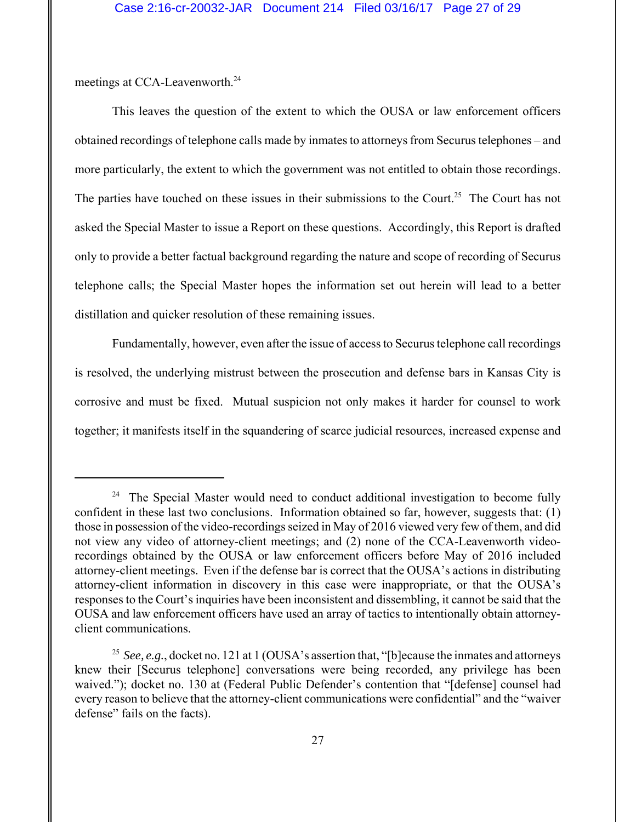meetings at CCA-Leavenworth.24

This leaves the question of the extent to which the OUSA or law enforcement officers obtained recordings of telephone calls made by inmates to attorneys from Securus telephones – and more particularly, the extent to which the government was not entitled to obtain those recordings. The parties have touched on these issues in their submissions to the Court.<sup>25</sup> The Court has not asked the Special Master to issue a Report on these questions. Accordingly, this Report is drafted only to provide a better factual background regarding the nature and scope of recording of Securus telephone calls; the Special Master hopes the information set out herein will lead to a better distillation and quicker resolution of these remaining issues.

Fundamentally, however, even after the issue of access to Securus telephone call recordings is resolved, the underlying mistrust between the prosecution and defense bars in Kansas City is corrosive and must be fixed. Mutual suspicion not only makes it harder for counsel to work together; it manifests itself in the squandering of scarce judicial resources, increased expense and

 $24$  The Special Master would need to conduct additional investigation to become fully confident in these last two conclusions. Information obtained so far, however, suggests that: (1) those in possession of the video-recordings seized in May of 2016 viewed very few of them, and did not view any video of attorney-client meetings; and (2) none of the CCA-Leavenworth videorecordings obtained by the OUSA or law enforcement officers before May of 2016 included attorney-client meetings. Even if the defense bar is correct that the OUSA's actions in distributing attorney-client information in discovery in this case were inappropriate, or that the OUSA's responses to the Court's inquiries have been inconsistent and dissembling, it cannot be said that the OUSA and law enforcement officers have used an array of tactics to intentionally obtain attorneyclient communications.

<sup>&</sup>lt;sup>25</sup> *See, e.g.*, docket no. 121 at 1 (OUSA's assertion that, "[b] ecause the inmates and attorneys knew their [Securus telephone] conversations were being recorded, any privilege has been waived."); docket no. 130 at (Federal Public Defender's contention that "[defense] counsel had every reason to believe that the attorney-client communications were confidential" and the "waiver defense" fails on the facts).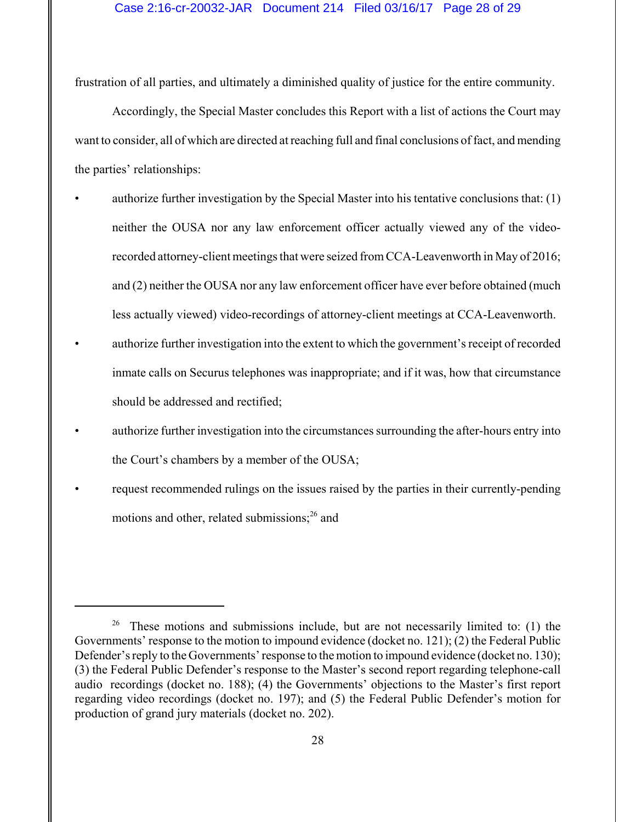#### Case 2:16-cr-20032-JAR Document 214 Filed 03/16/17 Page 28 of 29

frustration of all parties, and ultimately a diminished quality of justice for the entire community.

Accordingly, the Special Master concludes this Report with a list of actions the Court may want to consider, all of which are directed at reaching full and final conclusions of fact, and mending the parties' relationships:

- authorize further investigation by the Special Master into his tentative conclusions that: (1) neither the OUSA nor any law enforcement officer actually viewed any of the videorecorded attorney-client meetings that were seized from CCA-Leavenworth in May of 2016; and (2) neither the OUSA nor any law enforcement officer have ever before obtained (much less actually viewed) video-recordings of attorney-client meetings at CCA-Leavenworth. authorize further investigation into the extent to which the government's receipt of recorded inmate calls on Securus telephones was inappropriate; and if it was, how that circumstance should be addressed and rectified;
- authorize further investigation into the circumstances surrounding the after-hours entry into the Court's chambers by a member of the OUSA;
- request recommended rulings on the issues raised by the parties in their currently-pending motions and other, related submissions; $^{26}$  and

<sup>&</sup>lt;sup>26</sup> These motions and submissions include, but are not necessarily limited to: (1) the Governments' response to the motion to impound evidence (docket no. 121); (2) the Federal Public Defender's reply to the Governments' response to the motion to impound evidence (docket no. 130); (3) the Federal Public Defender's response to the Master's second report regarding telephone-call audio recordings (docket no. 188); (4) the Governments' objections to the Master's first report regarding video recordings (docket no. 197); and (5) the Federal Public Defender's motion for production of grand jury materials (docket no. 202).